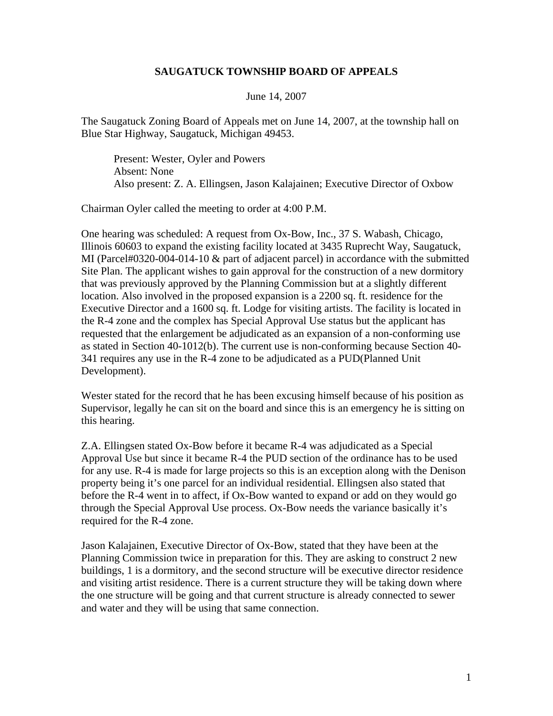## **SAUGATUCK TOWNSHIP BOARD OF APPEALS**

## June 14, 2007

The Saugatuck Zoning Board of Appeals met on June 14, 2007, at the township hall on Blue Star Highway, Saugatuck, Michigan 49453.

Present: Wester, Oyler and Powers Absent: None Also present: Z. A. Ellingsen, Jason Kalajainen; Executive Director of Oxbow

Chairman Oyler called the meeting to order at 4:00 P.M.

One hearing was scheduled: A request from Ox-Bow, Inc., 37 S. Wabash, Chicago, Illinois 60603 to expand the existing facility located at 3435 Ruprecht Way, Saugatuck, MI (Parcel#0320-004-014-10 & part of adjacent parcel) in accordance with the submitted Site Plan. The applicant wishes to gain approval for the construction of a new dormitory that was previously approved by the Planning Commission but at a slightly different location. Also involved in the proposed expansion is a 2200 sq. ft. residence for the Executive Director and a 1600 sq. ft. Lodge for visiting artists. The facility is located in the R-4 zone and the complex has Special Approval Use status but the applicant has requested that the enlargement be adjudicated as an expansion of a non-conforming use as stated in Section 40-1012(b). The current use is non-conforming because Section 40- 341 requires any use in the R-4 zone to be adjudicated as a PUD(Planned Unit Development).

Wester stated for the record that he has been excusing himself because of his position as Supervisor, legally he can sit on the board and since this is an emergency he is sitting on this hearing.

Z.A. Ellingsen stated Ox-Bow before it became R-4 was adjudicated as a Special Approval Use but since it became R-4 the PUD section of the ordinance has to be used for any use. R-4 is made for large projects so this is an exception along with the Denison property being it's one parcel for an individual residential. Ellingsen also stated that before the R-4 went in to affect, if Ox-Bow wanted to expand or add on they would go through the Special Approval Use process. Ox-Bow needs the variance basically it's required for the R-4 zone.

Jason Kalajainen, Executive Director of Ox-Bow, stated that they have been at the Planning Commission twice in preparation for this. They are asking to construct 2 new buildings, 1 is a dormitory, and the second structure will be executive director residence and visiting artist residence. There is a current structure they will be taking down where the one structure will be going and that current structure is already connected to sewer and water and they will be using that same connection.